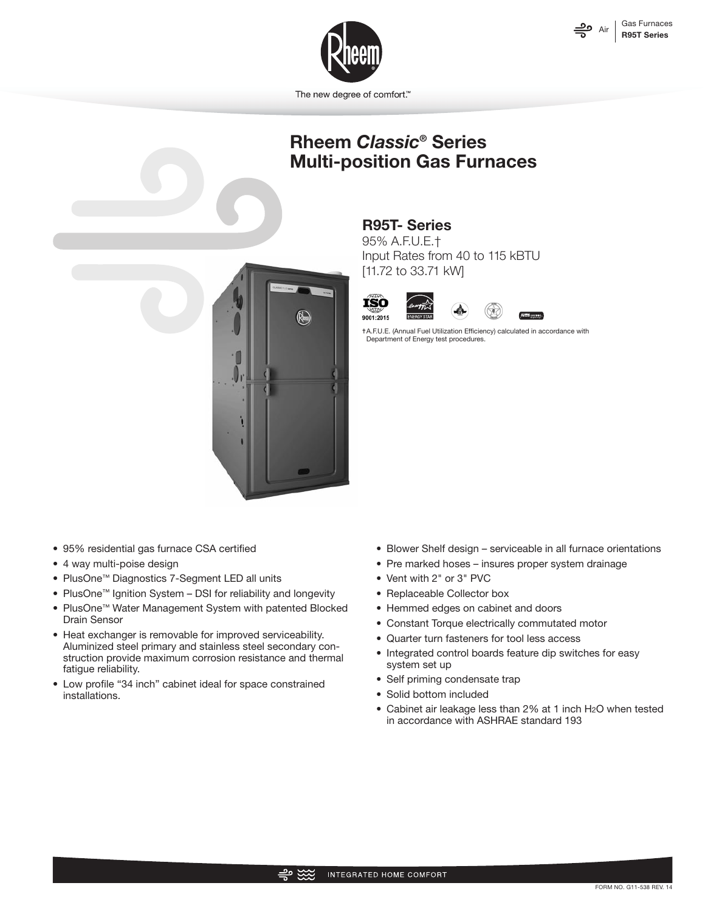

The new degree of comfort.™

# **Rheem** *Classic®* **Series Multi-position Gas Furnaces**



#### **R95T- Series**

95% A.F.U.E.† Input Rates from 40 to 115 kBTU [11.72 to 33.71 kW]



✝A.F.U.E. (Annual Fuel Utilization Efficiency) calculated in accordance with Department of Energy test procedures.

AHPI CERTIFIED.

- 95% residential gas furnace CSA certified
- 4 way multi-poise design
- PlusOne™ Diagnostics 7-Segment LED all units
- PlusOne™ Ignition System DSI for reliability and longevity
- PlusOne™ Water Management System with patented Blocked Drain Sensor
- Heat exchanger is removable for improved serviceability. Aluminized steel primary and stainless steel secondary construction provide maximum corrosion resistance and thermal fatigue reliability.
- Low profile "34 inch" cabinet ideal for space constrained installations.
- Blower Shelf design serviceable in all furnace orientations
- Pre marked hoses insures proper system drainage
- Vent with 2" or 3" PVC
- Replaceable Collector box
- Hemmed edges on cabinet and doors
- Constant Torque electrically commutated motor
- Quarter turn fasteners for tool less access
- Integrated control boards feature dip switches for easy system set up
- Self priming condensate trap
- Solid bottom included
- Cabinet air leakage less than 2% at 1 inch H2O when tested in accordance with ASHRAE standard 193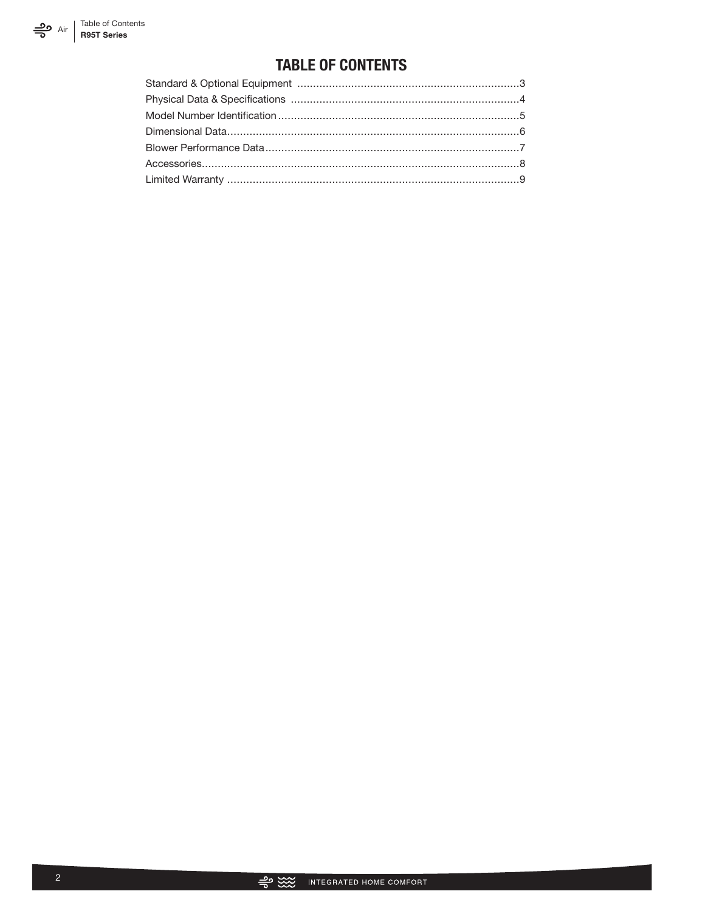# **TABLE OF CONTENTS**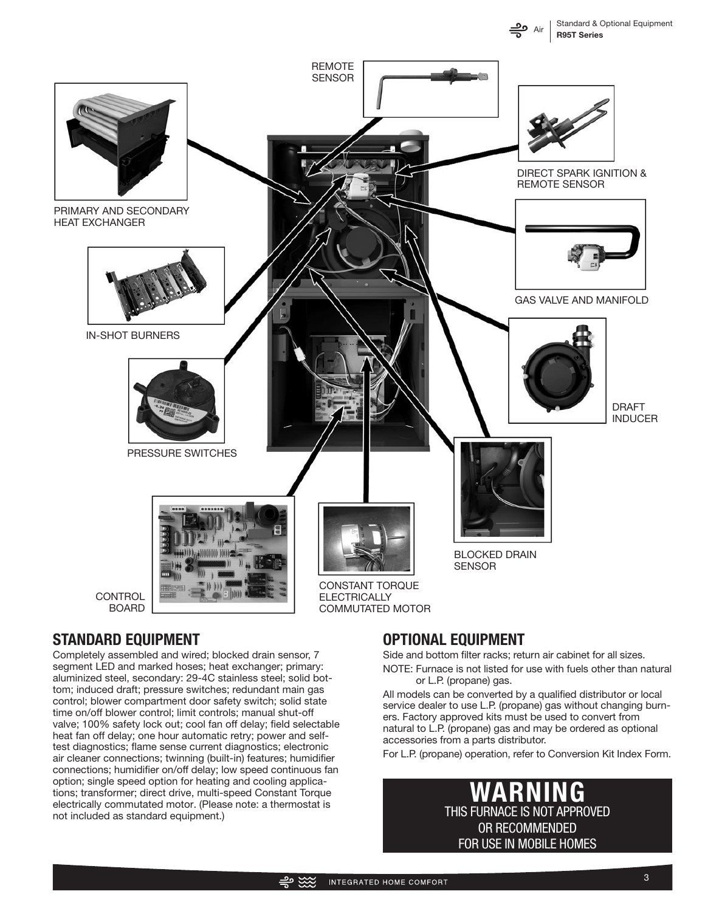

## **STANDARD EQUIPMENT**

Completely assembled and wired; blocked drain sensor, 7 segment LED and marked hoses; heat exchanger; primary: aluminized steel, secondary: 29-4C stainless steel; solid bottom; induced draft; pressure switches; redundant main gas control; blower compartment door safety switch; solid state time on/off blower control; limit controls; manual shut-off valve; 100% safety lock out; cool fan off delay; field selectable heat fan off delay; one hour automatic retry; power and selftest diagnostics; flame sense current diagnostics; electronic air cleaner connections; twinning (built-in) features; humidifier connections; humidifier on/off delay; low speed continuous fan option; single speed option for heating and cooling applications; transformer; direct drive, multi-speed Constant Torque electrically commutated motor. (Please note: a thermostat is not included as standard equipment.)

### **OPTIONAL EQUIPMENT**

Side and bottom filter racks; return air cabinet for all sizes.

NOTE: Furnace is not listed for use with fuels other than natural or L.P. (propane) gas.

All models can be converted by a qualified distributor or local service dealer to use L.P. (propane) gas without changing burners. Factory approved kits must be used to convert from natural to L.P. (propane) gas and may be ordered as optional accessories from a parts distributor.

For L.P. (propane) operation, refer to Conversion Kit Index Form.

## **WARNING** THIS FURNACE IS NOT APPROVED OR RECOMMENDED FOR USE IN MOBILE HOMES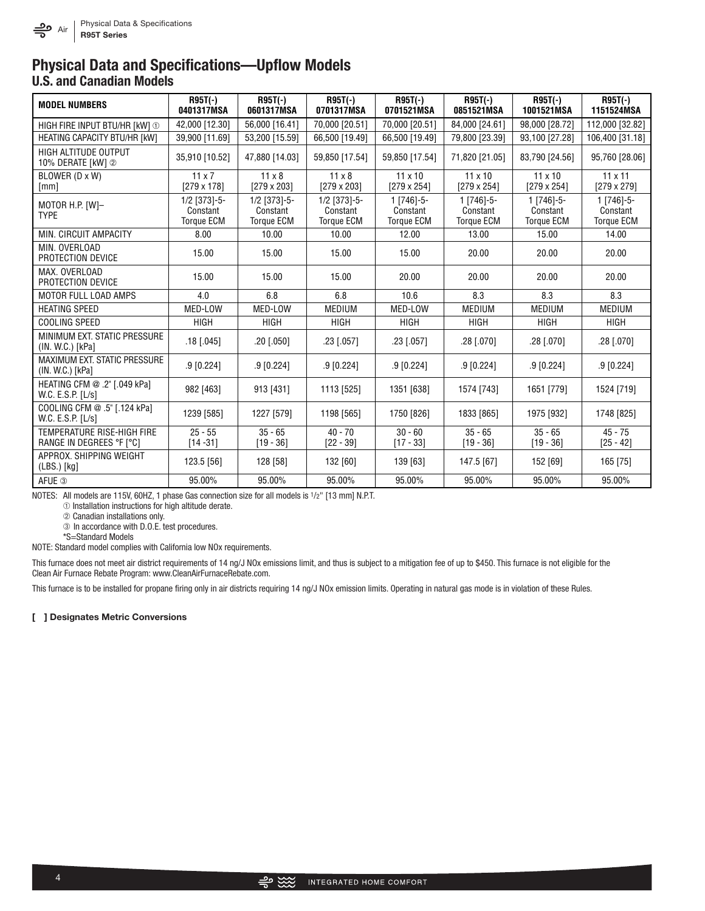#### **Physical Data and Specifications—Upflow Models U.S. and Canadian Models**

| <b>MODEL NUMBERS</b>                                      | $R95T(-)$<br>0401317MSA                         | $R95T(-)$<br>0601317MSA                         | $R95T(-)$<br>0701317MSA                       | $R95T(-)$<br>0701521MSA                     | $R95T(-)$<br>0851521MSA                       | $R95T(-)$<br>1001521MSA                     | $R95T(-)$<br>1151524MSA                     |
|-----------------------------------------------------------|-------------------------------------------------|-------------------------------------------------|-----------------------------------------------|---------------------------------------------|-----------------------------------------------|---------------------------------------------|---------------------------------------------|
| HIGH FIRE INPUT BTU/HR [kW] ①                             | 42,000 [12.30]                                  | 56,000 [16.41]                                  | 70,000 [20.51]                                | 70,000 [20.51]                              | 84,000 [24.61]                                | 98,000 [28.72]                              | 112,000 [32.82]                             |
| HEATING CAPACITY BTU/HR [kW]                              | 39,900 [11.69]                                  | 53,200 [15.59]                                  | 66,500 [19.49]                                | 66,500 [19.49]                              | 79,800 [23.39]                                | 93,100 [27.28]                              | 106,400 [31.18]                             |
| HIGH ALTITUDE OUTPUT<br>10% DERATE [kW] 2                 | 35,910 [10.52]                                  | 47,880 [14.03]                                  | 59,850 [17.54]                                | 59,850 [17.54]                              | 71,820 [21.05]                                | 83,790 [24.56]                              | 95,760 [28.06]                              |
| BLOWER (D x W)<br>[mm]                                    | $11 \times 7$<br>$[279 \times 178]$             | $11 \times 8$<br>$[279 \times 203]$             | $11 \times 8$<br>$[279 \times 203]$           | $11 \times 10$<br>$[279 \times 254]$        | $11 \times 10$<br>$[279 \times 254]$          | $11 \times 10$<br>$[279 \times 254]$        | $11 \times 11$<br>$[279 \times 279]$        |
| MOTOR H.P. [W]-<br><b>TYPE</b>                            | $1/2$ [373]-5-<br>Constant<br><b>Torque ECM</b> | $1/2$ [373]-5-<br>Constant<br><b>Torque ECM</b> | 1/2 [373]-5-<br>Constant<br><b>Torque ECM</b> | 1 [746]-5-<br>Constant<br><b>Torque ECM</b> | $1 [746]-5-$<br>Constant<br><b>Torque ECM</b> | 1 [746]-5-<br>Constant<br><b>Torque ECM</b> | 1 [746]-5-<br>Constant<br><b>Torque ECM</b> |
| MIN. CIRCUIT AMPACITY                                     | 8.00                                            | 10.00                                           | 10.00                                         | 12.00                                       | 13.00                                         | 15.00                                       | 14.00                                       |
| MIN. OVERLOAD<br>PROTECTION DEVICE                        | 15.00                                           | 15.00                                           | 15.00                                         | 15.00                                       | 20.00                                         | 20.00                                       | 20.00                                       |
| MAX. OVERLOAD<br>PROTECTION DEVICE                        | 15.00                                           | 15.00                                           | 15.00                                         | 20.00                                       | 20.00                                         | 20.00                                       | 20.00                                       |
| <b>MOTOR FULL LOAD AMPS</b>                               | 4.0                                             | 6.8                                             | 6.8                                           | 10.6                                        | 8.3                                           | 8.3                                         | 8.3                                         |
| <b>HEATING SPEED</b>                                      | MED-LOW                                         | MED-LOW                                         | <b>MEDIUM</b>                                 | MED-LOW                                     | <b>MEDIUM</b>                                 | <b>MEDIUM</b>                               | <b>MEDIUM</b>                               |
| COOLING SPEED                                             | <b>HIGH</b>                                     | <b>HIGH</b>                                     | <b>HIGH</b>                                   | <b>HIGH</b>                                 | <b>HIGH</b>                                   | <b>HIGH</b>                                 | <b>HIGH</b>                                 |
| MINIMUM EXT. STATIC PRESSURE<br>$(IN. W.C.)$ [kPa]        | $.18$ [.045]                                    | $.20$ [.050]                                    | $.23$ [.057]                                  | $.23$ [.057]                                | $.28$ [.070]                                  | .28 [.070]                                  | $.28$ [.070]                                |
| <b>MAXIMUM EXT. STATIC PRESSURE</b><br>$(IN. W.C.)$ [kPa] | $.9$ [0.224]                                    | .9 [0.224]                                      | $.9$ [0.224]                                  | $.9$ [0.224]                                | $.9$ [0.224]                                  | $.9$ [0.224]                                | $.9$ [0.224]                                |
| HEATING CFM @ .2" [.049 kPa]<br>W.C. E.S.P. $[L/s]$       | 982 [463]                                       | 913 [431]                                       | 1113 [525]                                    | 1351 [638]                                  | 1574 [743]                                    | 1651 [779]                                  | 1524 [719]                                  |
| COOLING CFM @ .5" [.124 kPa]<br>W.C. E.S.P. [L/s]         | 1239 [585]                                      | 1227 [579]                                      | 1198 [565]                                    | 1750 [826]                                  | 1833 [865]                                    | 1975 [932]                                  | 1748 [825]                                  |
| TEMPERATURE RISE-HIGH FIRE<br>RANGE IN DEGREES °F [°C]    | $25 - 55$<br>$[14 - 31]$                        | $35 - 65$<br>$[19 - 36]$                        | $40 - 70$<br>$[22 - 39]$                      | $30 - 60$<br>$[17 - 33]$                    | $35 - 65$<br>$[19 - 36]$                      | $35 - 65$<br>$[19 - 36]$                    | $45 - 75$<br>$[25 - 42]$                    |
| APPROX. SHIPPING WEIGHT<br>$(LBS.)$ [kg]                  | 123.5 [56]                                      | 128 [58]                                        | 132 [60]                                      | 139 [63]                                    | 147.5 [67]                                    | 152 [69]                                    | 165 [75]                                    |
| AFUE <sup>3</sup>                                         | 95.00%                                          | 95.00%                                          | 95.00%                                        | 95.00%                                      | 95.00%                                        | 95.00%                                      | 95.00%                                      |

NOTES: All models are 115V, 60HZ, 1 phase Gas connection size for all models is 1/2" [13 mm] N.P.T.

➀ Installation instructions for high altitude derate.

➁ Canadian installations only.

➂ In accordance with D.O.E. test procedures.

\*S=Standard Models

NOTE: Standard model complies with California low NOx requirements.

This furnace does not meet air district requirements of 14 ng/J NOx emissions limit, and thus is subject to a mitigation fee of up to \$450. This furnace is not eligible for the Clean Air Furnace Rebate Program: www.CleanAirFurnaceRebate.com.

This furnace is to be installed for propane firing only in air districts requiring 14 ng/J NOx emission limits. Operating in natural gas mode is in violation of these Rules.

#### **[ ] Designates Metric Conversions**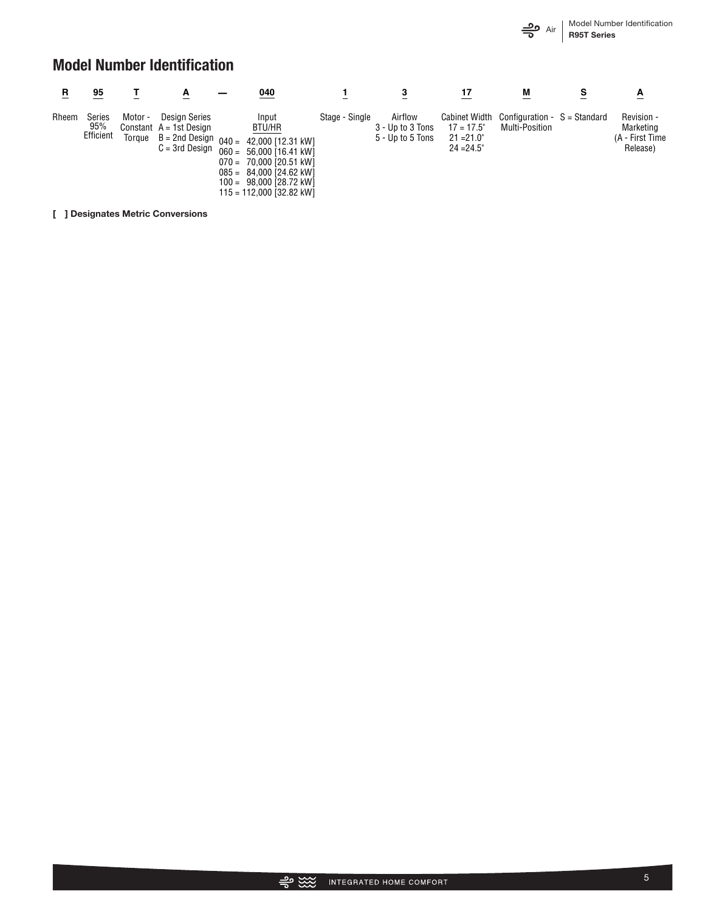# **Model Number Identification**

| R     | 95                         |                   | A                                                                     | 040                                                                                                                                                                                                                  |                |                                                 | 17                                                                      | M                                                | s | A                                                      |
|-------|----------------------------|-------------------|-----------------------------------------------------------------------|----------------------------------------------------------------------------------------------------------------------------------------------------------------------------------------------------------------------|----------------|-------------------------------------------------|-------------------------------------------------------------------------|--------------------------------------------------|---|--------------------------------------------------------|
| Rheem | Series<br>95%<br>Efficient | Motor -<br>Toraue | <b>Design Series</b><br>Constant $A = 1st$ Design<br>$C = 3rd$ Design | Input<br><b>BTU/HR</b><br>$B = 2nd$ Design $040 = 42,000$ [12.31 kW]<br>$060 = 56,000$ [16.41 kW]<br>$070 = 70,000$ [20.51 kW]<br>$085 = 84,000$ [24.62 kW]<br>$100 = 98,000$ [28.72 kW]<br>115 = 112,000 [32.82 kW] | Stage - Single | Airflow<br>3 - Up to 3 Tons<br>5 - Up to 5 Tons | <b>Cabinet Width</b><br>$17 = 17.5$ "<br>$21 = 21.0$ "<br>$24 = 24.5$ " | Configuration - $S =$ Standard<br>Multi-Position |   | Revision -<br>Marketing<br>(A - First Time<br>Release) |

**[ ] Designates Metric Conversions**

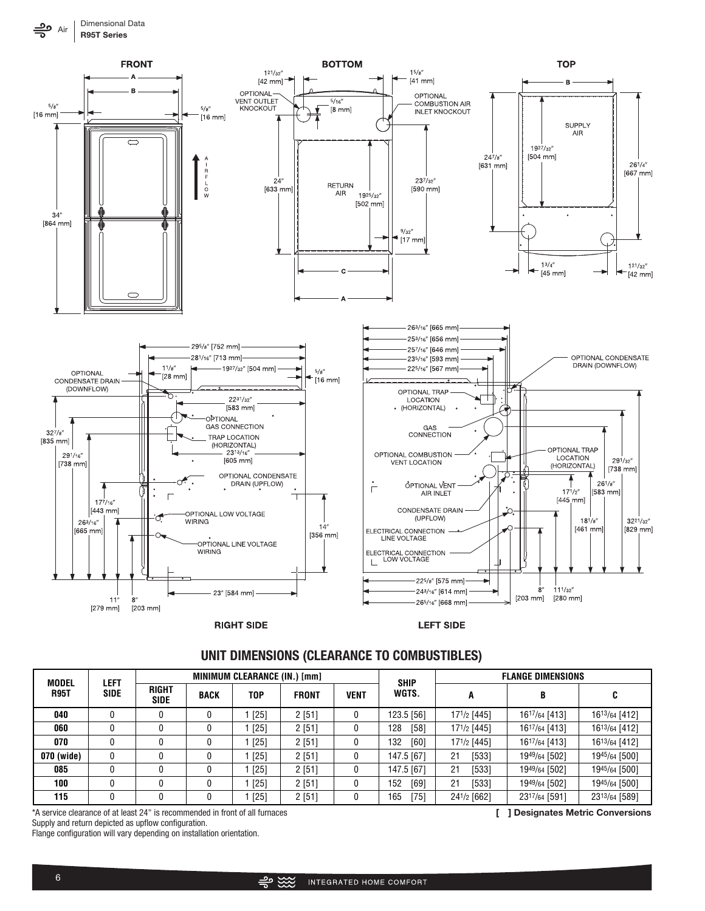

**RIGHT SIDE** 

**LEFT SIDE** 

# **UNIT DIMENSIONS (CLEARANCE TO COMBUSTIBLES)**

| <b>MODEL</b><br>LEFT |      |                             |             | <b>MINIMUM CLEARANCE (IN.) [mm]</b> |              |             | <b>SHIP</b>   |             | <b>FLANGE DIMENSIONS</b> |               |
|----------------------|------|-----------------------------|-------------|-------------------------------------|--------------|-------------|---------------|-------------|--------------------------|---------------|
| <b>R95T</b>          | SIDE | <b>RIGHT</b><br><b>SIDE</b> | <b>BACK</b> | T <sub>0</sub> P                    | <b>FRONT</b> | <b>VENT</b> | WGTS.         | A           | В                        | C             |
| 040                  |      |                             |             | [25]                                | 2[51]        |             | 123.5 [56]    | 171/2 [445] | 1617/64 [413]            | 1613/64 [412] |
| 060                  | 0    |                             |             | [25]                                | 2[51]        |             | 128<br>$[58]$ | 171/2 [445] | 1617/64 [413]            | 1613/64 [412] |
| 070                  |      |                             |             | [25]                                | 2[51]        |             | 132<br>[60]   | 171/2 [445] | 1617/64 [413]            | 1613/64 [412] |
| 070 (wide)           | 0    |                             | 0           | [25]                                | 2[51]        |             | 147.5 [67]    | [533]<br>21 | 1949/64 [502]            | 1945/64 [500] |
| 085                  |      |                             |             | [25]                                | 2[51]        |             | 147.5 [67]    | [533]<br>21 | 1949/64 [502]            | 1945/64 [500] |
| 100                  | 0    |                             | 0           | [25]                                | 2[51]        |             | 152<br>[69]   | [533]<br>21 | 1949/64 [502]            | 1945/64 [500] |
| 115                  |      |                             |             | [25]                                | 2[51]        |             | [75]<br>165   | 241/2 [662] | 2317/64 [591]            | 2313/64 [589] |

\*A service clearance of at least 24" is recommended in front of all furnaces **[ ] Designates Metric Conversions** Supply and return depicted as upflow configuration.

Flange configuration will vary depending on installation orientation.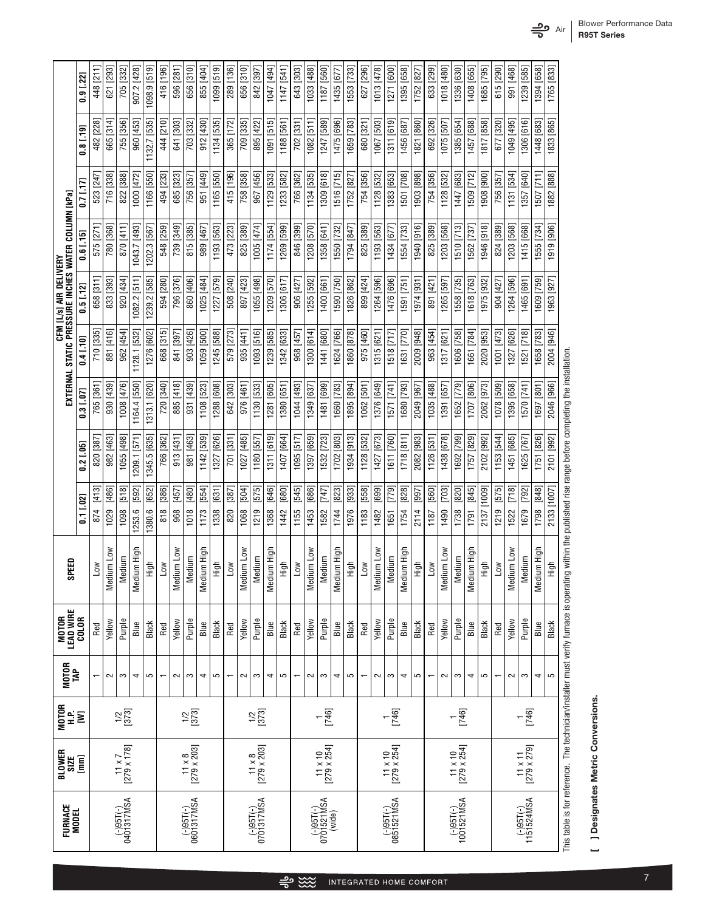| FURNACE<br>Model                | <b>BLOWER</b><br>SIZE                 | <b>MOTOR</b>         | MOTOR<br>Tap             | LEAD WIRE<br><b>MOTOR</b> | SPEED       |                                                   |               |                           |              | CFM [L/s] AIR DELIVERY | EXTERNAL STATIC PRESSURE INCHES WATER COLUMN [KPa] |               |                |                |
|---------------------------------|---------------------------------------|----------------------|--------------------------|---------------------------|-------------|---------------------------------------------------|---------------|---------------------------|--------------|------------------------|----------------------------------------------------|---------------|----------------|----------------|
|                                 | $[\min$                               | $\frac{a}{2}$ $\geq$ |                          | COLOR                     |             | $0.1$ [.02]                                       | $0.2$ [.05]   | $0.3$ [.07]               | $0.4$ [.10]  | $0.5$ [.12]            | $0.6$ [.15]                                        | [11] 1.0      | $0.8$ [.19]    | $0.9$ $[.22]$  |
|                                 |                                       |                      |                          | Red                       | Low         | $[413]$<br>874                                    | 820 [387]     | 765 [361                  | 710 [335]    | 658 [311]              | 575 [271]                                          | 523 [247]     | 482 [228]      | 448 [211       |
|                                 |                                       |                      | $\sim$                   | Yellow                    | Medium Low  | [486]<br>1029                                     | 982 [463]     | 930 [439]                 | 881 [416]    | 833 [393]              | 780 [368]                                          | 716 [338]     | 665 [314]      | 621 [293]      |
| $\binom{-95}{-1}$<br>0401317MSA | $\frac{11 \times 7}{279 \times 178}$  | $\frac{1}{2}$        | S                        | Purple                    | Medium      | $\begin{bmatrix} 5 & 1 & 8 \end{bmatrix}$<br>1098 | 1055 [498]    | 1008 [476]                | 962 [454]    | 920 [434]              | 870 [411]                                          | 822 [388]     | 755 [356]      | 705 [332]      |
|                                 |                                       |                      | 4                        | Blue                      | Medium High | [592]<br>1253.6                                   | 1209.1 [571]  | 1164.4 [550]              | 1128.1 [532] | $1082.2$ [511]         | 1043.7 [493]                                       | 1000 [472]    | 960 [453]      | 907.2 [428]    |
|                                 |                                       |                      | 5                        | Black                     | High        | [652]<br>1380.6                                   | 1345.5 [635]  | 1313.1 [620]              | 1276 [602]   | 1239.2 [585]           | 1202.3 [567]                                       | 1166 [550]    | 1132.7 [535]   | 1098.9 [519]   |
|                                 |                                       |                      | $\overline{ }$           | Red                       | Low         | [386]<br>818                                      | 766 [362]     | 720 [340                  | 668 [315]    | 594 [280]              | 548 [259]                                          | 494 [233]     | 444 [210]      | 416 [196]      |
|                                 |                                       |                      | $\sim$                   | Yellow                    | Medium Low  | [457]<br>968                                      | 913 [431      | 885 [418]                 | 841 [397]    | 796 [376]              | 739 [349]                                          | 685 [323]     | 641 [303]      | 596 [281       |
| $(-)95T(-)$<br>0601317MSA       | $11 \times 8$<br>[279 x 203]          | $1/2$<br>[373]       | S                        | Purple                    | Medium      | [480]<br>1018                                     | 981 [463]     | 931 [439]                 | 903 [426]    | 860 [406]              | 815 [385]                                          | 756 [357      | 703 [332]      | 656 [310       |
|                                 |                                       |                      | 4                        | Blue                      | Medium High | [554]<br>1173                                     | 1142 [539]    | 1108 [523]                | 1059 [500]   | 1025 [484]             | [467]<br>989                                       | 951 [449]     | 912 [430]      | 855 [404       |
|                                 |                                       |                      | 5                        | <b>Black</b>              | High        | 631<br>1338                                       | 1327 [626]    | 1288 [608]                | 245 [588]    | 1227 [579]             | 1193 [563]                                         | 1165 [550     | 1134 [535]     | 1099 [519]     |
|                                 |                                       |                      |                          | Red                       | Low         | [387]<br>820                                      | 701 [331      | [303]<br>642              | 579 [273]    | 508 [240]              | 473 [223]                                          | 415 [196]     | 365 [172]      | 289 [136       |
|                                 |                                       |                      | $\sim$                   | Yellow                    | Medium Low  | [504]<br>1068                                     | [485]<br>1027 | [461<br>976               | 935 [441]    | 897 [423]              | 825 [389]                                          | 758 [358]     | 709 [335]      | 656 [310       |
| $\binom{(-)95T(-)}{0701317MSA}$ | $11 \times 8$<br>[279 x 203]          | $1/2$<br>[373]       | S                        | Purple                    | Medium      | [575]<br>1219                                     | 1180 [557]    | 1130 [533]                | 1093 [516]   | 1055 [498]             | 1005 [474]                                         | 967 [456]     | 895 [422]      | 842 [397       |
|                                 |                                       |                      | 4                        | Blue                      | Medium High | [646]<br>1368                                     | 1311 [619]    | [605]<br>1281             | 1239 [585]   | 1209 [570]             | [554]<br>1174                                      | [533]<br>1129 | [515]<br>1091  | 1047 [494      |
|                                 |                                       |                      | 5                        | <b>Black</b>              | High        | [680]<br>1442                                     | [664]<br>1407 | 1380 [651                 | 1342 [633]   | 1306 [617              | [599]<br>1269                                      | 1233 [582]    | 1188 [561      | $[54]$<br>1147 |
|                                 |                                       |                      |                          | Red                       | Low         | [545]<br>1155                                     | [517]<br>1095 | [493]<br>1044             | 968 [457     | 906 [427               | [399]<br>846                                       | [362]<br>766  | $[331]$<br>702 | 643 [303       |
|                                 |                                       |                      | $\sim$                   | Yellow                    | Medium Low  | [686]<br>1453                                     | [659]<br>1397 | [637]<br>1349             | 300 [614]    | [592]<br>1255          | [570]<br><b>208</b>                                | [535]<br>1134 | 1082 [511]     | 1033 [488]     |
| $(-)95T(-)$<br>0701521MSA       | $\frac{11 \times 10}{279 \times 254}$ | $-1/16$              | S                        | Purple                    | Medium      | [747]<br>1582                                     | 1532 [723]    | 1481 [699]                | 1441 [680]   | 1400 [661              | 358 [641]                                          | 1309 [618]    | [589]<br>1247  | 1187 [560      |
| (wide)                          |                                       |                      | 4                        | Blue                      | Medium High | [823]<br>1744                                     | 1702 [803]    | 1660 [783]                | 1624 [766]   | 1590 [750]             | [732]<br>1550                                      | 1516 [715]    | 1475 [696]     | 1435 [677      |
|                                 |                                       |                      | 5                        | <b>Black</b>              | High        | [933]<br>1976                                     | 1934 [913]    | 1895   894                | 1860   878   | 1826 [862]             | 1794 [847]                                         | 1752   827    | 1659 [783]     | 1553 [733]     |
|                                 |                                       |                      |                          | Red                       | Low         | [558]<br>1183                                     | 1128 [532]    | 1062 [501                 | 975 [460]    | 899 [424]              | 825 [389]                                          | 754 [356]     | 680 [321]      | 627 [296]      |
|                                 |                                       |                      | $\sim$                   | Yellow                    | Medium Low  | [699]<br>1482                                     | 1427 [673]    | 1376 [649]                | 315 [621]    | 1264 [596]             | 1193 [563]                                         | 1128 [532]    | 1067 [503]     | 1013 [478]     |
| $(-)95T(-)$<br>0851521MSA       | $11 \times 10$<br>[279 x 254]         | [746]                | S                        | Purple                    | Medium      | [779]<br>1651                                     | 1611 [760]    | 1571 [741]                | 1518 [717    | 1476 [696]             | 1434 [677                                          | 1383 [653]    | 1311 [619]     | 1271 [600]     |
|                                 |                                       |                      | 4                        | Blue                      | Medium High | [828]<br>1754                                     | 1718 [811]    | 1680 [793]                | 1631 [770]   | 1591 [751]             | 1554 [733]                                         | 1501 [708]    | 1456 [687]     | 1395 [658]     |
|                                 |                                       |                      | 5                        | <b>Black</b>              | High        | [997]<br>2114                                     | 2082 [983]    | 2049 [967                 | 2009 [948]   | 1974 [931              | 1940 [916]                                         | 1903 [898]    | 1821 [860]     | 1752 [827      |
|                                 |                                       |                      |                          | Red                       | Low         | [560]<br>1187                                     | 1126 [531]    | $\frac{1035}{1035}$ [488] | 963 [454]    | 891 [421]              | 825 [389]                                          | 754 [356]     | 692 [326]      | 633 [299]      |
|                                 |                                       |                      | $\sim$                   | Yellow                    | Medium Low  | $[703]$<br>1490                                   | 1438 [678]    | 1391 [657                 | 1317 [621]   | 1265 [597]             | 203 [568]                                          | 1128 [532]    | 1075 [507]     | 1018 [480]     |
| $(-)95T(-)$ 1001521MSA          | $\frac{11 \times 10}{279 \times 254}$ | $\frac{1}{1}$        | S                        | Purple                    | Medium      | [820]<br>1738                                     | 1692 [799]    | 1652 [779]                | 1606 [758]   | 1558 [735]             | 1510 [713]                                         | 1447 [683]    | 1385 [654]     | 1336 [630]     |
|                                 |                                       |                      | 4                        | Blue                      | Medium High | [845]<br>1791                                     | 1757 [829]    | 1707 [806]                | 1661 [784]   | 1618 [763]             | 1562 [737]                                         | 1509 [712]    | 1457 [688]     | 1408 [665]     |
|                                 |                                       |                      | 5                        | <b>Black</b>              | High        | 2137 [1009]                                       | 2102 [992]    | 2062 [973]                | 2020 [953]   | 1975 [932]             | 1946 [918]                                         | 1908 [900]    | 1817 [858]     | 1685 [795]     |
|                                 |                                       |                      | $\overline{\phantom{0}}$ | Red                       | Low         | [575]<br>1219                                     | 1153 [544]    | 1078 [509]                | 1001 [473]   | 904 [427]              | 824 [389]                                          | 756 [357]     | 677 [320]      | 615 [290]      |
|                                 |                                       |                      | $\sim$                   | Yellow                    | Medium Low  | [718]<br>1522                                     | 1451 [685]    | 1395 [658]                | 1327 [626]   | 1264 [596]             | 1203 [568]                                         | 1131 [534]    | 1049 [495]     | 991 [468]      |
| $(-)95T(-)$ 1151524MSA          | $\frac{11 \times 11}{279 \times 279}$ | [746]                | S                        | Purple                    | Medium      | $[792]$<br>1679                                   | 1625 [767]    | 1570 [741                 | 1521 [718]   | 1465 [691              | 1415 [668]                                         | 1357 [640]    | 1306 [616]     | 1239 [585]     |
|                                 |                                       |                      | 4                        | Blue                      | Medium High | 1798 [848]                                        | 1751 [826]    | 1697 [801]                | 1658 [783]   | 1609 [759]             | 1555 [734]                                         | 1507 [711]    | 1448 [683]     | 1394 [658]     |
|                                 |                                       |                      | 5                        | Black                     | High        | 2133 [1007]                                       | 2101 [992]    | 2046 [966]                | 2004 [946]   | 1963 [927]             | 1919 [906]                                         | 1882 [888]    | 1833 [865]     | 1765 [833]     |

This table is for reference. The technician/installer must verify furnace is operating within the published rise range before completing the installation. This table is for reference. The technician/installer must verify furnace is operating within the published rise range before completing the installation.

# [ ] Designates Metric Conversions. **[ ] Designates Metric Conversions.**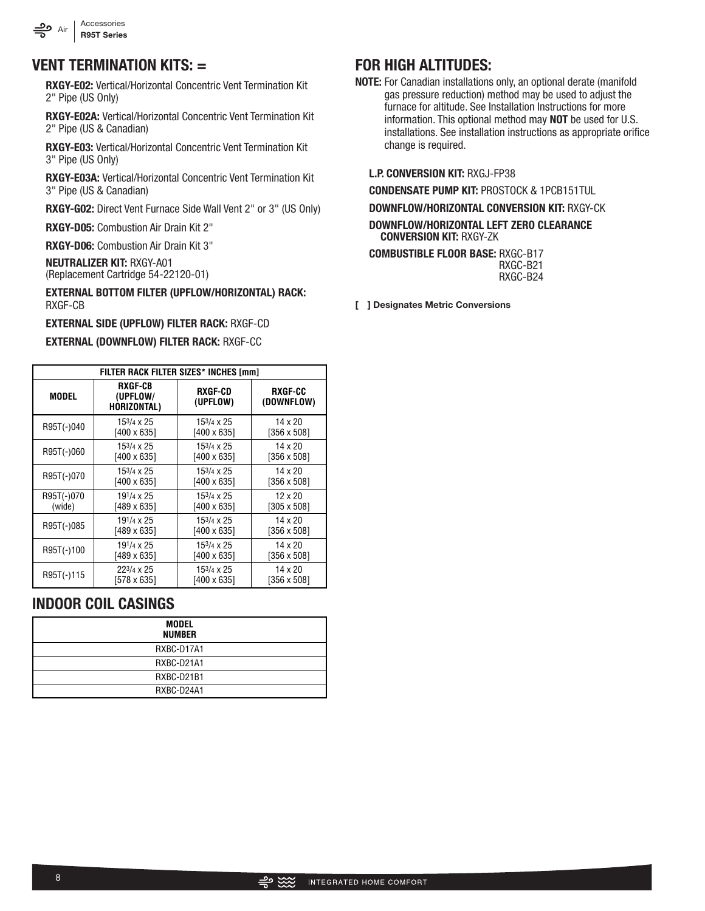

#### **VENT TERMINATION KITS: =**

**RXGY-E02:** Vertical/Horizontal Concentric Vent Termination Kit 2" Pipe (US Only)

**RXGY-E02A:** Vertical/Horizontal Concentric Vent Termination Kit 2" Pipe (US & Canadian)

**RXGY-E03:** Vertical/Horizontal Concentric Vent Termination Kit 3" Pipe (US Only)

**RXGY-E03A:** Vertical/Horizontal Concentric Vent Termination Kit 3" Pipe (US & Canadian)

**RXGY-G02:** Direct Vent Furnace Side Wall Vent 2" or 3" (US Only)

**RXGY-D05:** Combustion Air Drain Kit 2"

**RXGY-D06:** Combustion Air Drain Kit 3"

**NEUTRALIZER KIT:** RXGY-A01 (Replacement Cartridge 54-22120-01)

**EXTERNAL BOTTOM FILTER (UPFLOW/HORIZONTAL) RACK:** RXGF-CB

**EXTERNAL SIDE (UPFLOW) FILTER RACK:** RXGF-CD

**EXTERNAL (DOWNFLOW) FILTER RACK:** RXGF-CC

|            | FILTER RACK FILTER SIZES* INCHES [mm] |                      |                       |
|------------|---------------------------------------|----------------------|-----------------------|
| MODEL      | RXGF-CB<br>(UPFLOW/<br>HORIZONTAL)    | RXGF-CD<br>(UPFLOW)  | RXGF-CC<br>(DOWNFLOW) |
| R95T(-)040 | 153/4 x 25                            | 153/4 x 25           | 14 x 20               |
|            | $[400 \times 635]$                    | $[400 \times 635]$   | $[356 \times 508]$    |
| R95T(-)060 | 153/4 x 25                            | 153/4 x 25           | 14 x 20               |
|            | $[400 \times 635]$                    | $[400 \times 635]$   | $[356 \times 508]$    |
| R95T(-)070 | 153/4 x 25                            | 153/4 x 25           | 14 x 20               |
|            | $[400 \times 635]$                    | [400 x 635]          | $[356 \times 508]$    |
| R95T(-)070 | 191/4 x 25                            | $15^{3/4} \times 25$ | $12 \times 20$        |
| (wide)     | [489 x 635]                           | [400 x 635]          | $[305 \times 508]$    |
| R95T(-)085 | 191/ <sub>4</sub> x 25                | $15^{3}/4 \times 25$ | 14 x 20               |
|            | [489 x 635]                           | [400 x 635]          | $[356 \times 508]$    |
| R95T(-)100 | 191/4 x 25                            | $15^{3}/4 \times 25$ | $14 \times 20$        |
|            | [489 x 635]                           | [400 x 635]          | [356 x 508]           |
| R95T(-)115 | $22^{3/4} \times 25$                  | 153/4 x 25           | $14 \times 20$        |
|            | [578 x 635]                           | [400 x 635]          | $[356 \times 508]$    |

#### **INDOOR COIL CASINGS**

| MODEL<br>NUMBER |
|-----------------|
| RXBC-D17A1      |
| RXBC-D21A1      |
| RXBC-D21B1      |
| RXBC-D24A1      |

### **FOR HIGH ALTITUDES:**

**NOTE:** For Canadian installations only, an optional derate (manifold gas pressure reduction) method may be used to adjust the furnace for altitude. See Installation Instructions for more information. This optional method may **NOT** be used for U.S. installations. See installation instructions as appropriate orifice change is required.

#### **L.P. CONVERSION KIT:** RXGJ-FP38

**CONDENSATE PUMP KIT:** PROSTOCK & 1PCB151TUL

**DOWNFLOW/HORIZONTAL CONVERSION KIT:** RXGY-CK

**DOWNFLOW/HORIZONTAL LEFT ZERO CLEARANCE CONVERSION KIT:** RXGY-ZK

**COMBUSTIBLE FLOOR BASE:** RXGC-B17 RXGC-B21 RXGC-B24

**[ ] Designates Metric Conversions**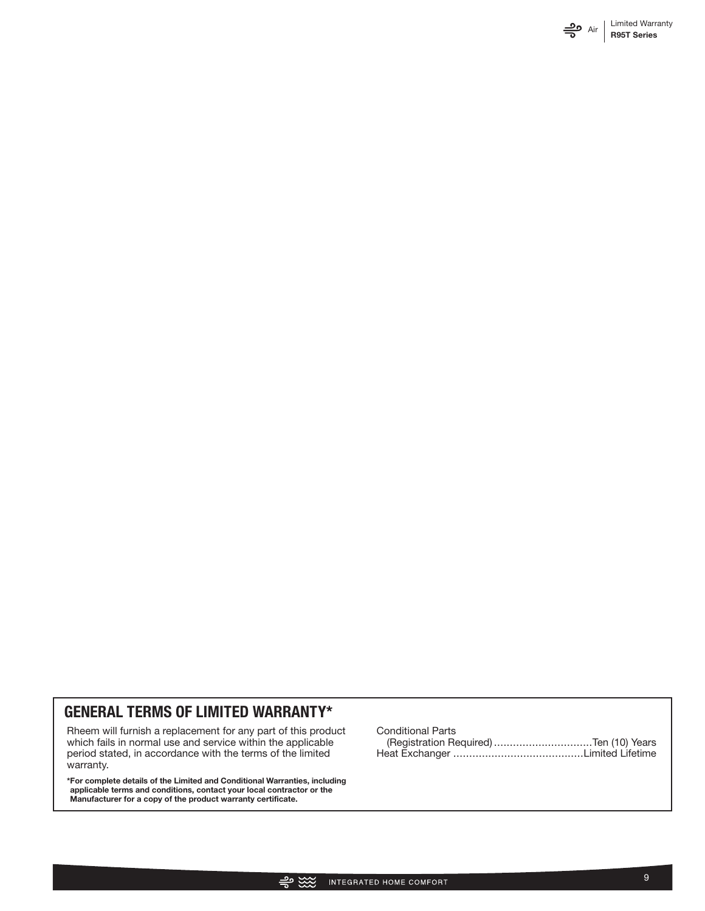

# **GENERAL TERMS OF LIMITED WARRANTY\***

Rheem will furnish a replacement for any part of this product which fails in normal use and service within the applicable period stated, in accordance with the terms of the limited warranty.

**\*For complete details of the Limited and Conditional Warranties, including applicable terms and conditions, contact your local contractor or the Manufacturer for a copy of the product warranty certificate.**

| <b>Conditional Parts</b> |                                        |
|--------------------------|----------------------------------------|
|                          | (Registration Required) Ten (10) Years |
|                          |                                        |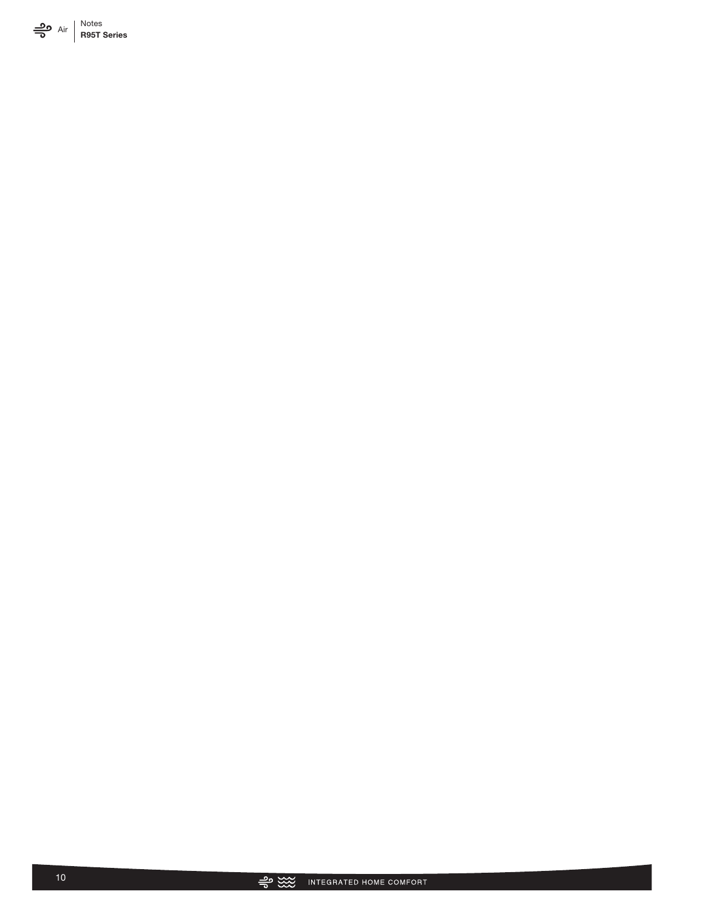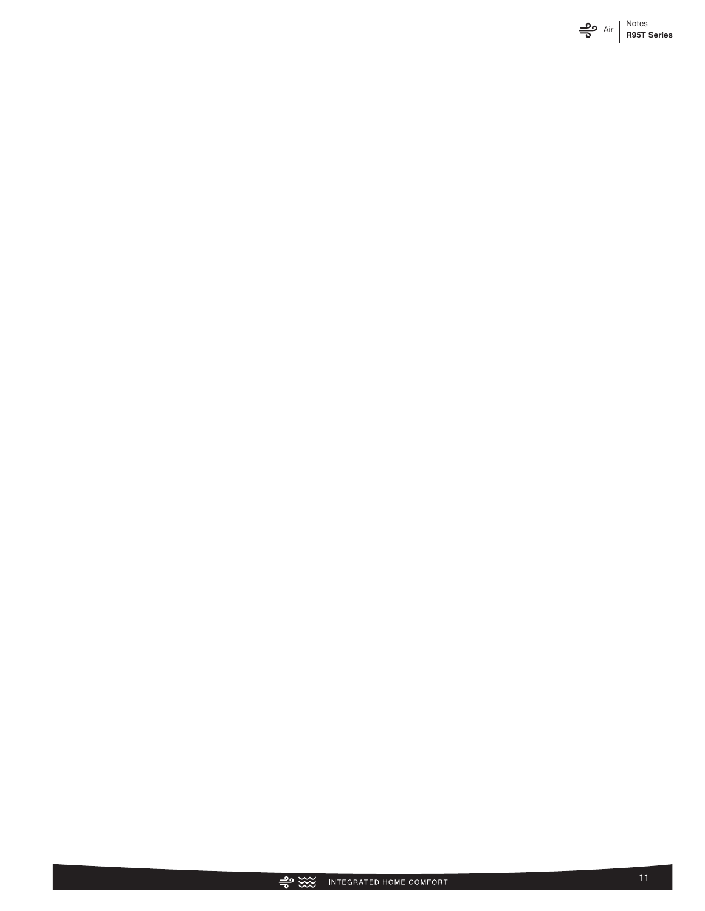